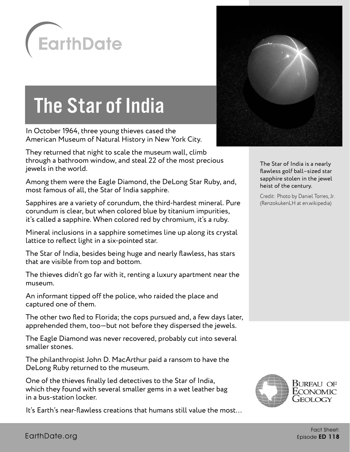

## The Star of India

In October 1964, three young thieves cased the American Museum of Natural History in New York City.

They returned that night to scale the museum wall, climb through a bathroom window, and steal 22 of the most precious jewels in the world.

Among them were the Eagle Diamond, the DeLong Star Ruby, and, most famous of all, the Star of India sapphire.

Sapphires are a variety of corundum, the third-hardest mineral. Pure corundum is clear, but when colored blue by titanium impurities, it's called a sapphire. When colored red by chromium, it's a ruby.

Mineral inclusions in a sapphire sometimes line up along its crystal lattice to reflect light in a six-pointed star.

The Star of India, besides being huge and nearly flawless, has stars that are visible from top and bottom.

The thieves didn't go far with it, renting a luxury apartment near the museum.

An informant tipped off the police, who raided the place and captured one of them.

The other two fled to Florida; the cops pursued and, a few days later, apprehended them, too—but not before they dispersed the jewels.

The Eagle Diamond was never recovered, probably cut into several smaller stones.

The philanthropist John D. MacArthur paid a ransom to have the DeLong Ruby returned to the museum.

One of the thieves finally led detectives to the Star of India, which they found with several smaller gems in a wet leather bag in a bus-station locker.

It's Earth's near-flawless creations that humans still value the most…



The Star of India is a nearly flawless golf ball–sized star sapphire stolen in the jewel heist of the century.

Credit: Photo by Daniel Torres, Jr. (RenzokukenLH at en.wikipedia)

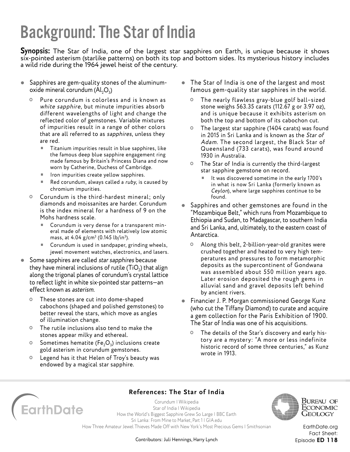## Background: The Star of India

**Synopsis:** The Star of India, one of the largest star sapphires on Earth, is unique because it shows six-pointed asterism (starlike patterns) on both its top and bottom sides. Its mysterious history includes a wild ride during the 1964 jewel heist of the century.

- Sapphires are gem-quality stones of the aluminumoxide mineral corundum  $(Al_2O_2)$ 
	- Pure corundum is colorless and is known as white sapphire, but minute impurities absorb different wavelengths of light and change the reflected color of gemstones. Variable mixtures of impurities result in a range of other colors that are all referred to as sapphires, unless they are red.
		- Titanium impurities result in blue sapphires, like the famous deep blue sapphire engagement ring made famous by Britain's Princess Diana and now worn by Catherine, Duchess of Cambridge.
		- Iron impurities create yellow sapphires.
		- Red corundum, always called a  $ruby$ , is caused by chromium impurities.
	- Corundum is the third-hardest mineral; only diamonds and moissanites are harder. Corundum is the index mineral for a hardness of 9 on the Mohs hardness scale.
		- Corundum is very dense for a transparent mineral made of elements with relatively low atomic mass, at 4.04 g/cm<sup>3</sup> (0.145 lb/in<sup>3</sup>).
		- Corundum is used in sandpaper, grinding wheels, jewel movement watches, electronics, and lasers.
- Some sapphires are called star sapphires because they have mineral inclusions of rutile  $(TiO<sub>2</sub>)$  that align along the trigonal planes of corundum's crystal lattice to reflect light in white six-pointed star patterns—an effect known as asterism.
	- These stones are cut into dome-shaped cabochons (shaped and polished gemstones) to better reveal the stars, which move as angles of illumination change.
	- The rutile inclusions also tend to make the stones appear milky and ethereal.
	- **O** Sometimes hematite (Fe<sub>2</sub>O<sub>2</sub>) inclusions create gold asterism in corundum gemstones.
	- Legend has it that Helen of Troy's beauty was endowed by a magical star sapphire.
- The Star of India is one of the largest and most famous gem-quality star sapphires in the world.
	- The nearly flawless gray-blue golf ball–sized stone weighs 563.35 carats (112.67 g or 3.97 oz), and is unique because it exhibits asterism on both the top and bottom of its cabochon cut.
	- The largest star sapphire (1404 carats) was found in 2015 in Sri Lanka and is known as the Star of Adam. The second largest, the Black Star of Queensland (733 carats), was found around 1930 in Australia.
	- The Star of India is currently the third-largest star sapphire gemstone on record.
		- It was discovered sometime in the early 1700's in what is now Sri Lanka (formerly known as Ceylon), where large sapphires continue to be found.
- Sapphires and other gemstones are found in the "Mozambique Belt," which runs from Mozambique to Ethiopia and Sudan, to Madagascar, to southern India and Sri Lanka, and, ultimately, to the eastern coast of Antarctica.
	- Along this belt, 2-billion-year-old granites were crushed together and heated to very high temperatures and pressures to form metamorphic deposits as the supercontinent of Gondwana was assembled about 550 million years ago. Later erosion deposited the rough gems in alluvial sand and gravel deposits left behind by ancient rivers.
- **Financier J. P. Morgan commissioned George Kunz** (who cut the Tiffany Diamond) to curate and acquire a gem collection for the Paris Exhibition of 1900. The Star of India was one of his acquisitions.
	- The details of the Star's discovery and early history are a mystery: "A more or less indefinite historic record of some three centuries," as Kunz wrote in 1913.



**References: The Star of India**

[Corundum | Wikipedia](https://en.wikipedia.org/wiki/Corundum) [Star of India | Wikipedia](https://en.wikipedia.org/wiki/Star_of_India_(gem)) [How the World's Biggest Sapphire Grew So Large | BBC Earth](http://www.bbc.com/earth/story/20160105-how-did-this-sapphire-get-so-huge) [Sri Lanka: From Mine to Market, Part 1 | GIA.edu](https://www.gia.edu/gia-news-research-sri-lanka-mining-part1) [How Three Amateur Jewel Thieves Made Off with New York's Most Precious Gems | Smithsonian](https://www.smithsonianmag.com/history/how-three-amateur-jewel-thieves-made-new-yorks-most-precious-gems-180949885/)



Bureau of ECONOMIC Geology

Contributors: Juli Hennings, Harry Lynch

[EarthDate.org](http://www.earthdate.org) Fact Sheet: Episode ED 118